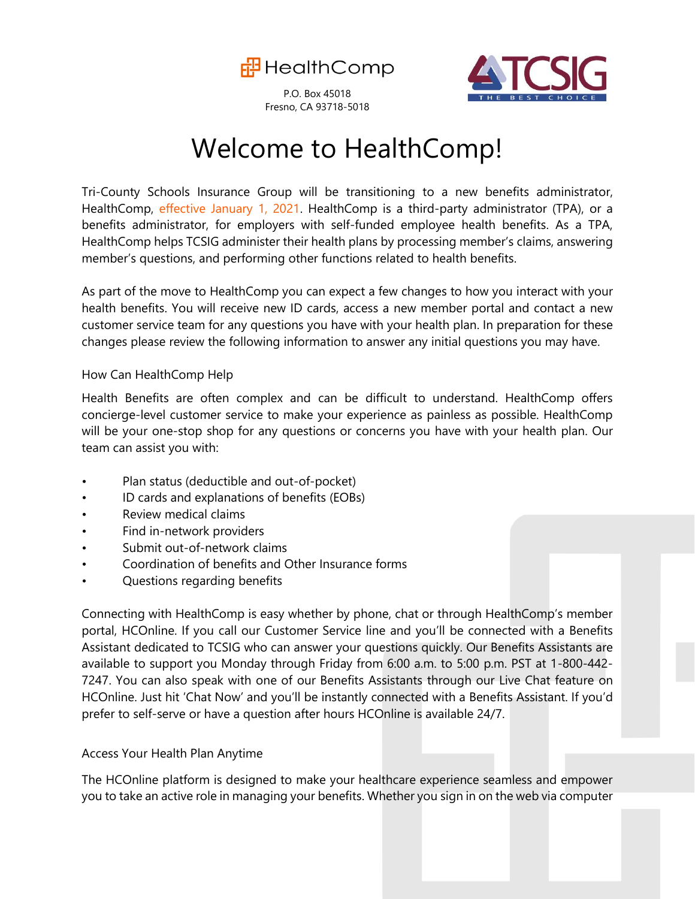

P.O. Box 45018 Fresno, CA 93718-5018



## Welcome to HealthComp!

Tri-County Schools Insurance Group will be transitioning to a new benefits administrator, HealthComp, effective January 1, 2021. HealthComp is a third-party administrator (TPA), or a benefits administrator, for employers with self-funded employee health benefits. As a TPA, HealthComp helps TCSIG administer their health plans by processing member's claims, answering member's questions, and performing other functions related to health benefits.

As part of the move to HealthComp you can expect a few changes to how you interact with your health benefits. You will receive new ID cards, access a new member portal and contact a new customer service team for any questions you have with your health plan. In preparation for these changes please review the following information to answer any initial questions you may have.

#### How Can HealthComp Help

Health Benefits are often complex and can be difficult to understand. HealthComp offers concierge-level customer service to make your experience as painless as possible. HealthComp will be your one-stop shop for any questions or concerns you have with your health plan. Our team can assist you with:

- Plan status (deductible and out-of-pocket)
- ID cards and explanations of benefits (EOBs)
- Review medical claims
- Find in-network providers
- Submit out-of-network claims
- Coordination of benefits and Other Insurance forms
- Questions regarding benefits

Connecting with HealthComp is easy whether by phone, chat or through HealthComp's member portal, HCOnline. If you call our Customer Service line and you'll be connected with a Benefits Assistant dedicated to TCSIG who can answer your questions quickly. Our Benefits Assistants are available to support you Monday through Friday from 6:00 a.m. to 5:00 p.m. PST at 1-800-442- 7247. You can also speak with one of our Benefits Assistants through our Live Chat feature on HCOnline. Just hit 'Chat Now' and you'll be instantly connected with a Benefits Assistant. If you'd prefer to self-serve or have a question after hours HCOnline is available 24/7.

#### Access Your Health Plan Anytime

The HCOnline platform is designed to make your healthcare experience seamless and empower you to take an active role in managing your benefits. Whether you sign in on the web via computer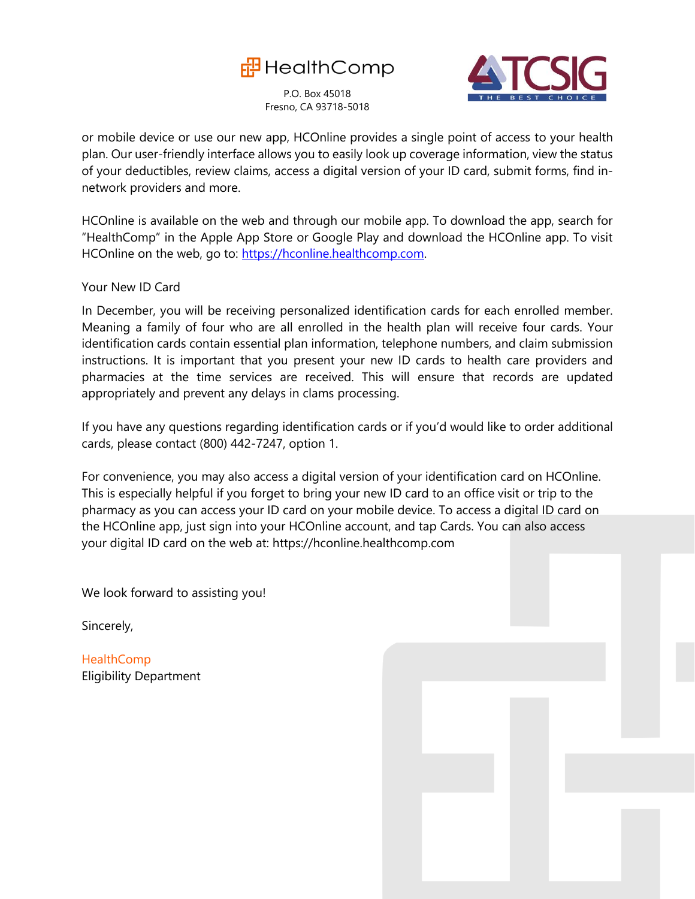

P.O. Box 45018 Fresno, CA 93718-5018



or mobile device or use our new app, HCOnline provides a single point of access to your health plan. Our user-friendly interface allows you to easily look up coverage information, view the status of your deductibles, review claims, access a digital version of your ID card, submit forms, find innetwork providers and more.

HCOnline is available on the web and through our mobile app. To download the app, search for "HealthComp" in the Apple App Store or Google Play and download the HCOnline app. To visit HCOnline on the web, go to: [https://hconline.healthcomp.com.](https://hconline.healthcomp.com/)

Your New ID Card

In December, you will be receiving personalized identification cards for each enrolled member. Meaning a family of four who are all enrolled in the health plan will receive four cards. Your identification cards contain essential plan information, telephone numbers, and claim submission instructions. It is important that you present your new ID cards to health care providers and pharmacies at the time services are received. This will ensure that records are updated appropriately and prevent any delays in clams processing.

If you have any questions regarding identification cards or if you'd would like to order additional cards, please contact (800) 442-7247, option 1.

For convenience, you may also access a digital version of your identification card on HCOnline. This is especially helpful if you forget to bring your new ID card to an office visit or trip to the pharmacy as you can access your ID card on your mobile device. To access a digital ID card on the HCOnline app, just sign into your HCOnline account, and tap Cards. You can also access your digital ID card on the web at: https://hconline.healthcomp.com

We look forward to assisting you!

Sincerely,

**HealthComp** Eligibility Department

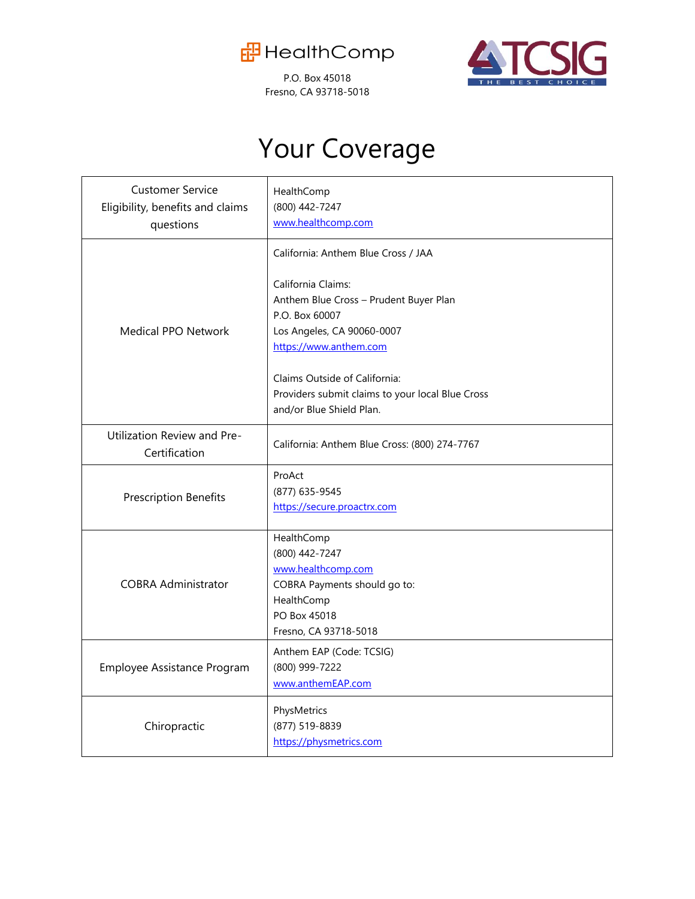

P.O. Box 45018 Fresno, CA 93718-5018



# Your Coverage

| <b>Customer Service</b><br>Eligibility, benefits and claims<br>questions | HealthComp<br>(800) 442-7247<br>www.healthcomp.com                                                                                        |
|--------------------------------------------------------------------------|-------------------------------------------------------------------------------------------------------------------------------------------|
|                                                                          | California: Anthem Blue Cross / JAA                                                                                                       |
| Medical PPO Network                                                      | California Claims:<br>Anthem Blue Cross - Prudent Buyer Plan<br>P.O. Box 60007<br>Los Angeles, CA 90060-0007<br>https://www.anthem.com    |
|                                                                          | Claims Outside of California:<br>Providers submit claims to your local Blue Cross<br>and/or Blue Shield Plan.                             |
| Utilization Review and Pre-<br>Certification                             | California: Anthem Blue Cross: (800) 274-7767                                                                                             |
| <b>Prescription Benefits</b>                                             | ProAct<br>(877) 635-9545<br>https://secure.proactrx.com                                                                                   |
| <b>COBRA Administrator</b>                                               | HealthComp<br>(800) 442-7247<br>www.healthcomp.com<br>COBRA Payments should go to:<br>HealthComp<br>PO Box 45018<br>Fresno, CA 93718-5018 |
| Employee Assistance Program                                              | Anthem EAP (Code: TCSIG)<br>(800) 999-7222<br>www.anthemEAP.com                                                                           |
| Chiropractic                                                             | PhysMetrics<br>(877) 519-8839<br>https://physmetrics.com                                                                                  |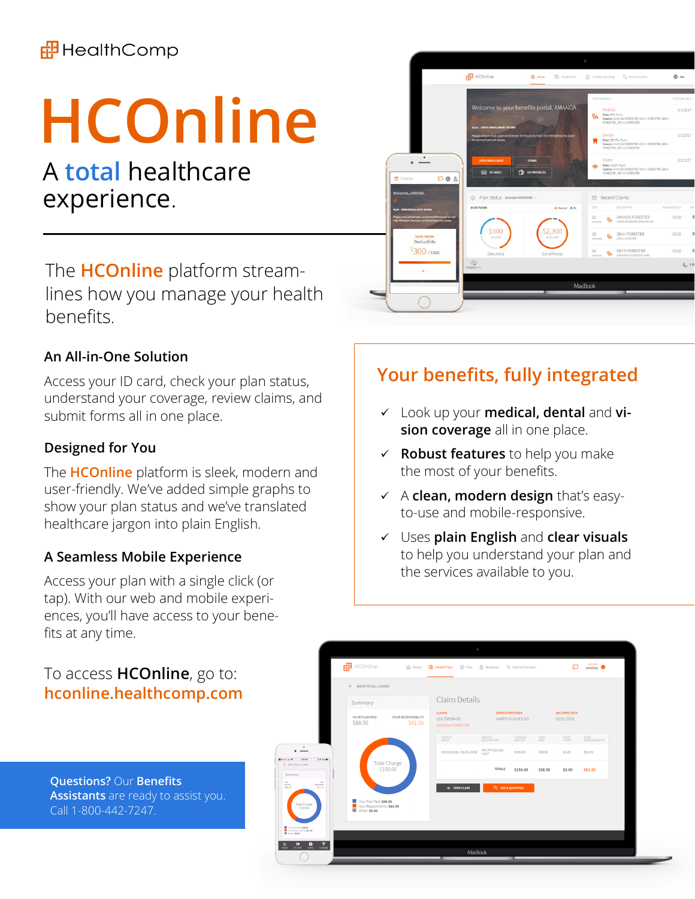### **中**HealthComp

# **HCOnline**

## A **total** healthcare experience.

The **HCOnline** platform streamlines how you manage your health benefits.

#### **An All-in-One Solution**

Access your ID card, check your plan status, understand your coverage, review claims, and submit forms all in one place.

#### **Designed for You**

The **HCOnline** platform is sleek, modern and user-friendly. We've added simple graphs to show your plan status and we've translated healthcare jargon into plain English.

#### **A Seamless Mobile Experience**

Access your plan with a single click (or tap). With our web and mobile experiences, you'll have access to your benefits at any time.

#### To access **HCOnline**, go to: **hconline.healthcomp.com**

**Questions?** Our **Benefits Assistants** are ready to assist you. Call 1-800-442-7247.



## **Your benefits, fully integrated**

- ✓ Look up your **medical, dental** and **vision coverage** all in one place.
- ✓ **Robust features** to help you make the most of your benefits.
- ✓ A **clean, modern design** that's easyto-use and mobile-responsive.
- ✓ Uses **plain English** and **clear visuals**  to help you understand your plan and the services available to you.

|                                                                                                 | 中 HCOnline                                              | $\hat{1}$ Home                |                                                    |                        | Q. Find a Provider                         |              | œ                                  | <b>MECONE</b>          |
|-------------------------------------------------------------------------------------------------|---------------------------------------------------------|-------------------------------|----------------------------------------------------|------------------------|--------------------------------------------|--------------|------------------------------------|------------------------|
|                                                                                                 | ← BACK TO ALL CLAIMS                                    |                               |                                                    |                        |                                            |              |                                    |                        |
|                                                                                                 | Summary                                                 |                               | Claim Details                                      |                        |                                            |              |                                    |                        |
|                                                                                                 | YOUR PLAN PAID<br>\$88.50                               | YOUR RESPONSIBLITY<br>\$61.50 | <b>CLAIM #</b><br>218-706594-00<br>AMANDA FORESTER |                        | <b>SERVICE PROVIDER</b><br>KAREN HUGHES DO |              | <b>INCURRED DATE</b><br>03/01/2018 |                        |
|                                                                                                 |                                                         |                               | SERVICE<br>DATES                                   | SERVICE<br>DESCRIPTION | CHARGED<br>AMOUNT                          | PLAN<br>PAID | YOUR<br>COPAY                      | YOUR<br>RESPONSIBILITY |
| $\ddot{\phantom{0}}$                                                                            |                                                         |                               | 03/01/2018 - 03/01/2018                            | MH PHYSICIAN<br>VISIT  | \$150.00                                   | \$88.50      | \$0.00                             | \$61.50                |
| $Q$ if $dm =$<br>70479<br>· BACKTO ALL CLAIMS<br>Summary                                        |                                                         | Total Charge<br>\$150.00      |                                                    | <b>TOTALS</b>          | \$150.00                                   | \$88.50      | \$0.00                             | \$61.50                |
| кия<br>588.50<br><b>COL</b><br><b>NOPONIA</b>                                                   |                                                         |                               | <b>ED VIEW CLAIM</b>                               | E3 ASK A QUESTION      |                                            |              |                                    |                        |
| <b>Total Charge</b><br>\$150.00                                                                 | Vour Plan Paid: \$88.50<br>Your Responsibility: \$61.50 |                               |                                                    |                        |                                            |              |                                    |                        |
| Tour Plan Paid \$88.50<br>Tour Responsibility \$61.50<br><b>E Cther. \$6.00</b>                 |                                                         |                               |                                                    |                        |                                            |              |                                    |                        |
| $\overline{\mathbf{a}}$ $\overline{\mathbf{b}}$ $\overline{\mathbf{b}}$ $\overline{\mathbf{v}}$ |                                                         |                               |                                                    |                        |                                            |              |                                    |                        |
|                                                                                                 |                                                         |                               | MacBook                                            |                        |                                            |              |                                    |                        |